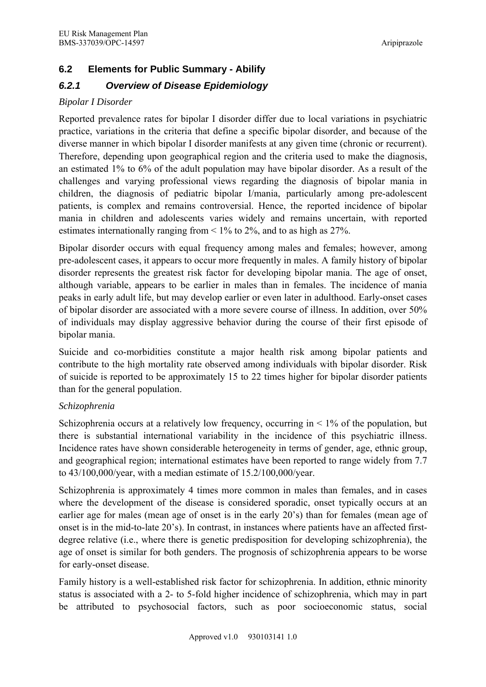# **6.2 Elements for Public Summary - Abilify**

# *6.2.1 Overview of Disease Epidemiology*

### *Bipolar I Disorder*

Reported prevalence rates for bipolar I disorder differ due to local variations in psychiatric practice, variations in the criteria that define a specific bipolar disorder, and because of the diverse manner in which bipolar I disorder manifests at any given time (chronic or recurrent). Therefore, depending upon geographical region and the criteria used to make the diagnosis, an estimated 1% to 6% of the adult population may have bipolar disorder. As a result of the challenges and varying professional views regarding the diagnosis of bipolar mania in children, the diagnosis of pediatric bipolar I/mania, particularly among pre-adolescent patients, is complex and remains controversial. Hence, the reported incidence of bipolar mania in children and adolescents varies widely and remains uncertain, with reported estimates internationally ranging from < 1% to 2%, and to as high as 27%.

Bipolar disorder occurs with equal frequency among males and females; however, among pre-adolescent cases, it appears to occur more frequently in males. A family history of bipolar disorder represents the greatest risk factor for developing bipolar mania. The age of onset, although variable, appears to be earlier in males than in females. The incidence of mania peaks in early adult life, but may develop earlier or even later in adulthood. Early-onset cases of bipolar disorder are associated with a more severe course of illness. In addition, over 50% of individuals may display aggressive behavior during the course of their first episode of bipolar mania.

Suicide and co-morbidities constitute a major health risk among bipolar patients and contribute to the high mortality rate observed among individuals with bipolar disorder. Risk of suicide is reported to be approximately 15 to 22 times higher for bipolar disorder patients than for the general population.

## *Schizophrenia*

Schizophrenia occurs at a relatively low frequency, occurring in  $\leq 1\%$  of the population, but there is substantial international variability in the incidence of this psychiatric illness. Incidence rates have shown considerable heterogeneity in terms of gender, age, ethnic group, and geographical region; international estimates have been reported to range widely from 7.7 to 43/100,000/year, with a median estimate of 15.2/100,000/year.

Schizophrenia is approximately 4 times more common in males than females, and in cases where the development of the disease is considered sporadic, onset typically occurs at an earlier age for males (mean age of onset is in the early 20's) than for females (mean age of onset is in the mid-to-late 20's). In contrast, in instances where patients have an affected firstdegree relative (i.e., where there is genetic predisposition for developing schizophrenia), the age of onset is similar for both genders. The prognosis of schizophrenia appears to be worse for early-onset disease.

Family history is a well-established risk factor for schizophrenia. In addition, ethnic minority status is associated with a 2- to 5-fold higher incidence of schizophrenia, which may in part be attributed to psychosocial factors, such as poor socioeconomic status, social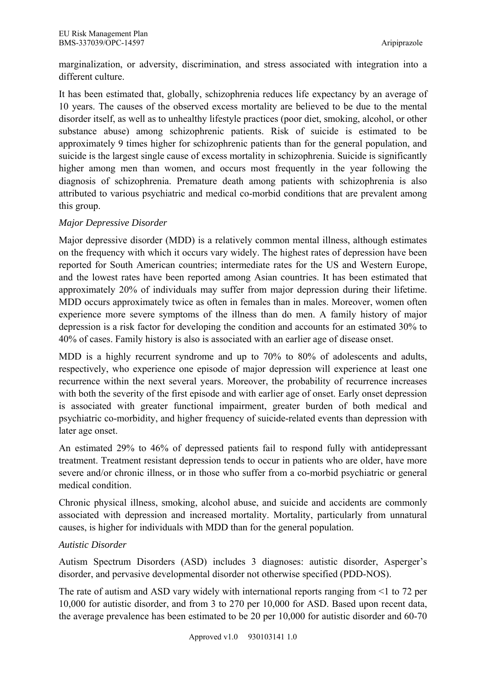marginalization, or adversity, discrimination, and stress associated with integration into a different culture.

It has been estimated that, globally, schizophrenia reduces life expectancy by an average of 10 years. The causes of the observed excess mortality are believed to be due to the mental disorder itself, as well as to unhealthy lifestyle practices (poor diet, smoking, alcohol, or other substance abuse) among schizophrenic patients. Risk of suicide is estimated to be approximately 9 times higher for schizophrenic patients than for the general population, and suicide is the largest single cause of excess mortality in schizophrenia. Suicide is significantly higher among men than women, and occurs most frequently in the year following the diagnosis of schizophrenia. Premature death among patients with schizophrenia is also attributed to various psychiatric and medical co-morbid conditions that are prevalent among this group.

# *Major Depressive Disorder*

Major depressive disorder (MDD) is a relatively common mental illness, although estimates on the frequency with which it occurs vary widely. The highest rates of depression have been reported for South American countries; intermediate rates for the US and Western Europe, and the lowest rates have been reported among Asian countries. It has been estimated that approximately 20% of individuals may suffer from major depression during their lifetime. MDD occurs approximately twice as often in females than in males. Moreover, women often experience more severe symptoms of the illness than do men. A family history of major depression is a risk factor for developing the condition and accounts for an estimated 30% to 40% of cases. Family history is also is associated with an earlier age of disease onset.

MDD is a highly recurrent syndrome and up to 70% to 80% of adolescents and adults, respectively, who experience one episode of major depression will experience at least one recurrence within the next several years. Moreover, the probability of recurrence increases with both the severity of the first episode and with earlier age of onset. Early onset depression is associated with greater functional impairment, greater burden of both medical and psychiatric co-morbidity, and higher frequency of suicide-related events than depression with later age onset.

An estimated 29% to 46% of depressed patients fail to respond fully with antidepressant treatment. Treatment resistant depression tends to occur in patients who are older, have more severe and/or chronic illness, or in those who suffer from a co-morbid psychiatric or general medical condition.

Chronic physical illness, smoking, alcohol abuse, and suicide and accidents are commonly associated with depression and increased mortality. Mortality, particularly from unnatural causes, is higher for individuals with MDD than for the general population.

## *Autistic Disorder*

Autism Spectrum Disorders (ASD) includes 3 diagnoses: autistic disorder, Asperger's disorder, and pervasive developmental disorder not otherwise specified (PDD-NOS).

The rate of autism and ASD vary widely with international reports ranging from <1 to 72 per 10,000 for autistic disorder, and from 3 to 270 per 10,000 for ASD. Based upon recent data, the average prevalence has been estimated to be 20 per 10,000 for autistic disorder and 60-70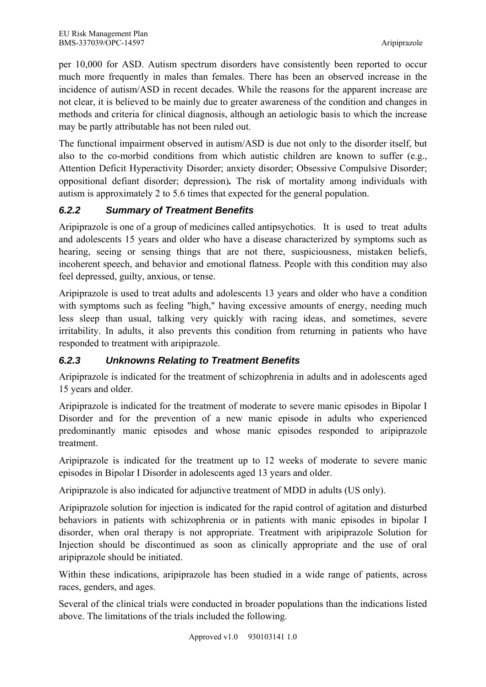per 10,000 for ASD. Autism spectrum disorders have consistently been reported to occur much more frequently in males than females. There has been an observed increase in the incidence of autism/ASD in recent decades. While the reasons for the apparent increase are not clear, it is believed to be mainly due to greater awareness of the condition and changes in methods and criteria for clinical diagnosis, although an aetiologic basis to which the increase may be partly attributable has not been ruled out.

The functional impairment observed in autism/ASD is due not only to the disorder itself, but also to the co-morbid conditions from which autistic children are known to suffer (e.g., Attention Deficit Hyperactivity Disorder; anxiety disorder; Obsessive Compulsive Disorder; oppositional defiant disorder; depression)*.* The risk of mortality among individuals with autism is approximately 2 to 5.6 times that expected for the general population.

# *6.2.2 Summary of Treatment Benefits*

Aripiprazole is one of a group of medicines called antipsychotics. It is used to treat adults and adolescents 15 years and older who have a disease characterized by symptoms such as hearing, seeing or sensing things that are not there, suspiciousness, mistaken beliefs, incoherent speech, and behavior and emotional flatness. People with this condition may also feel depressed, guilty, anxious, or tense.

Aripiprazole is used to treat adults and adolescents 13 years and older who have a condition with symptoms such as feeling "high," having excessive amounts of energy, needing much less sleep than usual, talking very quickly with racing ideas, and sometimes, severe irritability. In adults, it also prevents this condition from returning in patients who have responded to treatment with aripiprazole.

# *6.2.3 Unknowns Relating to Treatment Benefits*

Aripiprazole is indicated for the treatment of schizophrenia in adults and in adolescents aged 15 years and older.

Aripiprazole is indicated for the treatment of moderate to severe manic episodes in Bipolar I Disorder and for the prevention of a new manic episode in adults who experienced predominantly manic episodes and whose manic episodes responded to aripiprazole treatment.

Aripiprazole is indicated for the treatment up to 12 weeks of moderate to severe manic episodes in Bipolar I Disorder in adolescents aged 13 years and older.

Aripiprazole is also indicated for adjunctive treatment of MDD in adults (US only).

Aripiprazole solution for injection is indicated for the rapid control of agitation and disturbed behaviors in patients with schizophrenia or in patients with manic episodes in bipolar I disorder, when oral therapy is not appropriate. Treatment with aripiprazole Solution for Injection should be discontinued as soon as clinically appropriate and the use of oral aripiprazole should be initiated.

Within these indications, aripiprazole has been studied in a wide range of patients, across races, genders, and ages.

Several of the clinical trials were conducted in broader populations than the indications listed above. The limitations of the trials included the following.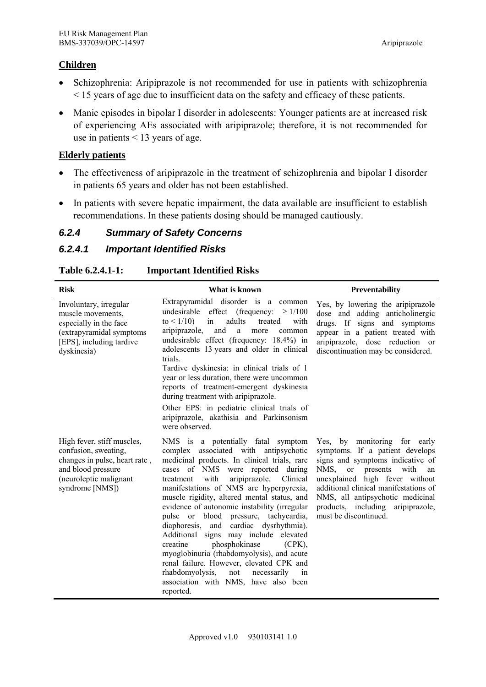### **Children**

- Schizophrenia: Aripiprazole is not recommended for use in patients with schizophrenia < 15 years of age due to insufficient data on the safety and efficacy of these patients.
- Manic episodes in bipolar I disorder in adolescents: Younger patients are at increased risk of experiencing AEs associated with aripiprazole; therefore, it is not recommended for use in patients < 13 years of age.

### **Elderly patients**

- The effectiveness of aripiprazole in the treatment of schizophrenia and bipolar I disorder in patients 65 years and older has not been established.
- In patients with severe hepatic impairment, the data available are insufficient to establish recommendations. In these patients dosing should be managed cautiously.

## *6.2.4 Summary of Safety Concerns*

# *6.2.4.1 Important Identified Risks*

#### **Table 6.2.4.1-1: Important Identified Risks**

| <b>Risk</b>                                                                                                                                            | What is known                                                                                                                                                                                                                                                                                                                                                                                                                                                                                                                                                                                                                                                                                                                   | <b>Preventability</b>                                                                                                                                                                                                                                                                                                          |
|--------------------------------------------------------------------------------------------------------------------------------------------------------|---------------------------------------------------------------------------------------------------------------------------------------------------------------------------------------------------------------------------------------------------------------------------------------------------------------------------------------------------------------------------------------------------------------------------------------------------------------------------------------------------------------------------------------------------------------------------------------------------------------------------------------------------------------------------------------------------------------------------------|--------------------------------------------------------------------------------------------------------------------------------------------------------------------------------------------------------------------------------------------------------------------------------------------------------------------------------|
| Involuntary, irregular<br>muscle movements,<br>especially in the face<br>(extrapyramidal symptoms<br>[EPS], including tardive<br>dyskinesia)           | Extrapyramidal disorder is a common<br>effect (frequency:<br>undesirable<br>$\geq 1/100$<br>to $\leq 1/10$ )<br>adults<br>treated<br>with<br>in<br>aripiprazole,<br>and<br>a<br>more<br>common<br>undesirable effect (frequency: 18.4%) in<br>adolescents 13 years and older in clinical<br>trials.<br>Tardive dyskinesia: in clinical trials of 1<br>year or less duration, there were uncommon<br>reports of treatment-emergent dyskinesia<br>during treatment with aripiprazole.<br>Other EPS: in pediatric clinical trials of<br>aripiprazole, akathisia and Parkinsonism<br>were observed.                                                                                                                                 | Yes, by lowering the aripiprazole<br>dose and adding anticholinergic<br>drugs. If signs and symptoms<br>appear in a patient treated with<br>aripiprazole, dose reduction or<br>discontinuation may be considered.                                                                                                              |
| High fever, stiff muscles,<br>confusion, sweating,<br>changes in pulse, heart rate,<br>and blood pressure<br>(neuroleptic malignant<br>syndrome [NMS]) | NMS is a potentially fatal symptom<br>complex associated with antipsychotic<br>medicinal products. In clinical trials, rare<br>cases of NMS were reported during<br>with<br>aripiprazole.<br>Clinical<br>treatment<br>manifestations of NMS are hyperpyrexia,<br>muscle rigidity, altered mental status, and<br>evidence of autonomic instability (irregular<br>pulse or blood pressure, tachycardia,<br>diaphoresis, and cardiac dysrhythmia).<br>Additional signs may include elevated<br>phosphokinase<br>creatine<br>$(CPK)$ ,<br>myoglobinuria (rhabdomyolysis), and acute<br>renal failure. However, elevated CPK and<br>rhabdomyolysis,<br>not<br>necessarily<br>in<br>association with NMS, have also been<br>reported. | Yes, by monitoring for early<br>symptoms. If a patient develops<br>signs and symptoms indicative of<br>NMS,<br>or or<br>with<br>presents<br>an<br>unexplained high fever without<br>additional clinical manifestations of<br>NMS, all antipsychotic medicinal<br>products, including<br>aripiprazole,<br>must be discontinued. |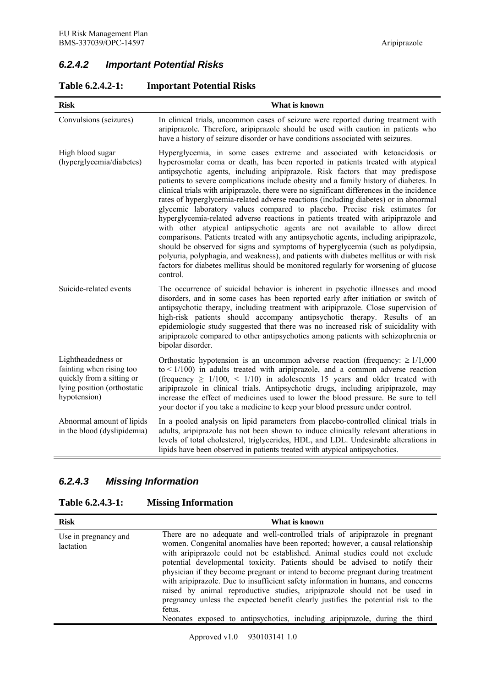# *6.2.4.2 Important Potential Risks*

| <b>Risk</b>                                                                                                                | What is known                                                                                                                                                                                                                                                                                                                                                                                                                                                                                                                                                                                                                                                                                                                                                                                                                                                                                                                                                                                                                                                                                                                                        |  |  |
|----------------------------------------------------------------------------------------------------------------------------|------------------------------------------------------------------------------------------------------------------------------------------------------------------------------------------------------------------------------------------------------------------------------------------------------------------------------------------------------------------------------------------------------------------------------------------------------------------------------------------------------------------------------------------------------------------------------------------------------------------------------------------------------------------------------------------------------------------------------------------------------------------------------------------------------------------------------------------------------------------------------------------------------------------------------------------------------------------------------------------------------------------------------------------------------------------------------------------------------------------------------------------------------|--|--|
| Convulsions (seizures)                                                                                                     | In clinical trials, uncommon cases of seizure were reported during treatment with<br>aripiprazole. Therefore, aripiprazole should be used with caution in patients who<br>have a history of seizure disorder or have conditions associated with seizures.                                                                                                                                                                                                                                                                                                                                                                                                                                                                                                                                                                                                                                                                                                                                                                                                                                                                                            |  |  |
| High blood sugar<br>(hyperglycemia/diabetes)                                                                               | Hyperglycemia, in some cases extreme and associated with ketoacidosis or<br>hyperosmolar coma or death, has been reported in patients treated with atypical<br>antipsychotic agents, including aripiprazole. Risk factors that may predispose<br>patients to severe complications include obesity and a family history of diabetes. In<br>clinical trials with aripiprazole, there were no significant differences in the incidence<br>rates of hyperglycemia-related adverse reactions (including diabetes) or in abnormal<br>glycemic laboratory values compared to placebo. Precise risk estimates for<br>hyperglycemia-related adverse reactions in patients treated with aripiprazole and<br>with other atypical antipsychotic agents are not available to allow direct<br>comparisons. Patients treated with any antipsychotic agents, including aripiprazole,<br>should be observed for signs and symptoms of hyperglycemia (such as polydipsia,<br>polyuria, polyphagia, and weakness), and patients with diabetes mellitus or with risk<br>factors for diabetes mellitus should be monitored regularly for worsening of glucose<br>control. |  |  |
| Suicide-related events                                                                                                     | The occurrence of suicidal behavior is inherent in psychotic illnesses and mood<br>disorders, and in some cases has been reported early after initiation or switch of<br>antipsychotic therapy, including treatment with aripiprazole. Close supervision of<br>high-risk patients should accompany antipsychotic therapy. Results of an<br>epidemiologic study suggested that there was no increased risk of suicidality with<br>aripiprazole compared to other antipsychotics among patients with schizophrenia or<br>bipolar disorder.                                                                                                                                                                                                                                                                                                                                                                                                                                                                                                                                                                                                             |  |  |
| Lightheadedness or<br>fainting when rising too<br>quickly from a sitting or<br>lying position (orthostatic<br>hypotension) | Orthostatic hypotension is an uncommon adverse reaction (frequency: $\geq 1/1,000$<br>to $\leq 1/100$ ) in adults treated with aripiprazole, and a common adverse reaction<br>(frequency $\geq$ 1/100, < 1/10) in adolescents 15 years and older treated with<br>aripiprazole in clinical trials. Antipsychotic drugs, including aripiprazole, may<br>increase the effect of medicines used to lower the blood pressure. Be sure to tell<br>your doctor if you take a medicine to keep your blood pressure under control.                                                                                                                                                                                                                                                                                                                                                                                                                                                                                                                                                                                                                            |  |  |
| Abnormal amount of lipids<br>in the blood (dyslipidemia)                                                                   | In a pooled analysis on lipid parameters from placebo-controlled clinical trials in<br>adults, aripiprazole has not been shown to induce clinically relevant alterations in<br>levels of total cholesterol, triglycerides, HDL, and LDL. Undesirable alterations in<br>lipids have been observed in patients treated with atypical antipsychotics.                                                                                                                                                                                                                                                                                                                                                                                                                                                                                                                                                                                                                                                                                                                                                                                                   |  |  |

### **Table 6.2.4.2-1: Important Potential Risks**

# *6.2.4.3 Missing Information*

# **Table 6.2.4.3-1: Missing Information**

| <b>Risk</b>                       | What is known                                                                                                                                                                                                                                                                                                                                                                                                                                                                                                                                                                                                                                                                                                                                                      |  |  |
|-----------------------------------|--------------------------------------------------------------------------------------------------------------------------------------------------------------------------------------------------------------------------------------------------------------------------------------------------------------------------------------------------------------------------------------------------------------------------------------------------------------------------------------------------------------------------------------------------------------------------------------------------------------------------------------------------------------------------------------------------------------------------------------------------------------------|--|--|
| Use in pregnancy and<br>lactation | There are no adequate and well-controlled trials of aripiprazole in pregnant<br>women. Congenital anomalies have been reported; however, a causal relationship<br>with aripiprazole could not be established. Animal studies could not exclude<br>potential developmental toxicity. Patients should be advised to notify their<br>physician if they become pregnant or intend to become pregnant during treatment<br>with aripiprazole. Due to insufficient safety information in humans, and concerns<br>raised by animal reproductive studies, aripiprazole should not be used in<br>pregnancy unless the expected benefit clearly justifies the potential risk to the<br>fetus.<br>Neonates exposed to antipsychotics, including aripiprazole, during the third |  |  |

Approved v1.0 930103141 1.0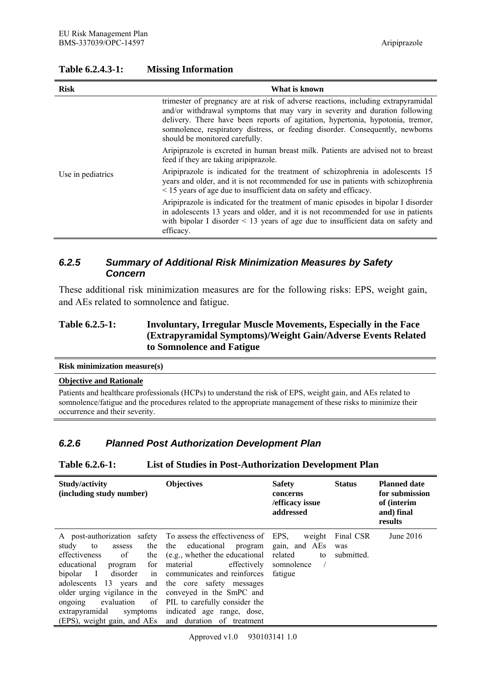| <b>Risk</b>                                                                                                                | What is known                                                                                                                                                                                                                                                                                                                                                         |  |  |
|----------------------------------------------------------------------------------------------------------------------------|-----------------------------------------------------------------------------------------------------------------------------------------------------------------------------------------------------------------------------------------------------------------------------------------------------------------------------------------------------------------------|--|--|
|                                                                                                                            | trimester of pregnancy are at risk of adverse reactions, including extrapyramidal<br>and/or withdrawal symptoms that may vary in severity and duration following<br>delivery. There have been reports of agitation, hypertonia, hypotonia, tremor,<br>somnolence, respiratory distress, or feeding disorder. Consequently, newborns<br>should be monitored carefully. |  |  |
| Aripiprazole is excreted in human breast milk. Patients are advised not to breast<br>feed if they are taking aripiprazole. |                                                                                                                                                                                                                                                                                                                                                                       |  |  |
| Use in pediatrics                                                                                                          | Aripiprazole is indicated for the treatment of schizophrenia in adolescents 15<br>years and older, and it is not recommended for use in patients with schizophrenia<br>$\leq$ 15 years of age due to insufficient data on safety and efficacy.                                                                                                                        |  |  |
|                                                                                                                            | Aripiprazole is indicated for the treatment of manic episodes in bipolar I disorder<br>in adolescents 13 years and older, and it is not recommended for use in patients<br>with bipolar I disorder $\leq$ 13 years of age due to insufficient data on safety and<br>efficacy.                                                                                         |  |  |

# *6.2.5 Summary of Additional Risk Minimization Measures by Safety Concern*

These additional risk minimization measures are for the following risks: EPS, weight gain, and AEs related to somnolence and fatigue.

### **Table 6.2.5-1: Involuntary, Irregular Muscle Movements, Especially in the Face (Extrapyramidal Symptoms)/Weight Gain/Adverse Events Related to Somnolence and Fatigue**

#### **Risk minimization measure(s)**

### **Objective and Rationale**

Patients and healthcare professionals (HCPs) to understand the risk of EPS, weight gain, and AEs related to somnolence/fatigue and the procedures related to the appropriate management of these risks to minimize their occurrence and their severity.

## *6.2.6 Planned Post Authorization Development Plan*

#### **Table 6.2.6-1: List of Studies in Post-Authorization Development Plan**

| Study/activity<br>(including study number)                                                                                                                                                                                                                                                          | <b>Objectives</b>                                                                                                                                                                                                                                                                             | <b>Safety</b><br>concerns<br>/efficacy issue<br>addressed         | <b>Status</b>                  | <b>Planned date</b><br>for submission<br>of (interim<br>and) final<br>results |
|-----------------------------------------------------------------------------------------------------------------------------------------------------------------------------------------------------------------------------------------------------------------------------------------------------|-----------------------------------------------------------------------------------------------------------------------------------------------------------------------------------------------------------------------------------------------------------------------------------------------|-------------------------------------------------------------------|--------------------------------|-------------------------------------------------------------------------------|
| study<br>to<br>assess<br>of<br>effectiveness<br>the<br>educational<br>program for<br>bipolar I<br>adolescents 13 years and the core safety messages<br>older urging vigilance in the conveyed in the SmPC and<br>ongoing<br>extrapyramidal<br>(EPS), weight gain, and AEs and duration of treatment | A post-authorization safety To assess the effectiveness of EPS,<br>the the educational program<br>(e.g., whether the educational)<br>material<br>effectively<br>disorder in communicates and reinforces<br>evaluation of PIL to carefully consider the<br>symptoms indicated age range, dose, | weight<br>gain, and AEs<br>related<br>to<br>somnolence<br>fatigue | Final CSR<br>was<br>submitted. | June $2016$                                                                   |